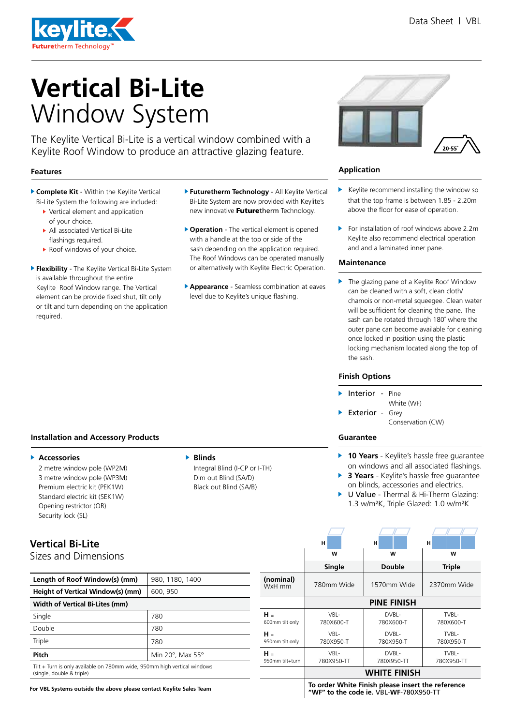

# **Vertical Bi-Lite** Window System

The Keylite Vertical Bi-Lite is a vertical window combined with a Keylite Roof Window to produce an attractive glazing feature.

### **Features**

- **Complete Kit** Within the Keylite Vertical Bi-Lite System the following are included:
	- Vertical element and application of your choice.
	- All associated Vertical Bi-Lite flashings required.
	- ▶ Roof windows of your choice.
- **Flexibility** The Keylite Vertical Bi-Lite System is available throughout the entire Keylite Roof Window range. The Vertical element can be provide fixed shut, tilt only or tilt and turn depending on the application required.
- **Futuretherm Technology**  All Keylite Vertical Bi-Lite System are now provided with Keylite's new innovative Futuretherm Technology.
- **Operation**  The vertical element is opened with a handle at the top or side of the sash depending on the application required. The Roof Windows can be operated manually or alternatively with Keylite Electric Operation.
- **Appearance**  Seamless combination at eaves level due to Keylite's unique flashing.



### **Application**

- $\blacktriangleright$  Keylite recommend installing the window so that the top frame is between 1.85 - 2.20m above the floor for ease of operation.
- $\blacktriangleright$  For installation of roof windows above 2.2m Keylite also recommend electrical operation and and a laminated inner pane.

### **Maintenance**

▶ The glazing pane of a Keylite Roof Window can be cleaned with a soft, clean cloth/ chamois or non-metal squeegee. Clean water will be sufficient for cleaning the pane. The sash can be rotated through 180˚ where the outer pane can become available for cleaning once locked in position using the plastic locking mechanism located along the top of the sash.

### **Finish Options**

- Interior Pine
- White (WF) Exterior - Grey

Conservation (CW)

# **Guarantee**

ь

- ь **10 Years** - Keylite's hassle free guarantee on windows and all associated flashings.
- **3 Years** Keylite's hassle free guarantee ь on blinds, accessories and electrics.
- U Value Thermal & Hi-Therm Glazing: ь 1.3 w/m²K, Triple Glazed: 1.0 w/m²K

# **Installation and Accessory Products**

### **Accessories**

**Vertical Bi-Lite** 

Sizes and Dimensions

2 metre window pole (WP2M) 3 metre window pole (WP3M) Premium electric kit (PEK1W) Standard electric kit (SEK1W) Opening restrictor (OR) Security lock (SL)

Integral Blind (I-CP or I-TH) Dim out Blind (SA/D) Black out Blind (SA/B)

| Length of Roof Window(s) (mm)                                                                         | 980, 1180, 1400  |  |  |  |
|-------------------------------------------------------------------------------------------------------|------------------|--|--|--|
| Height of Vertical Window(s) (mm)                                                                     | 600, 950         |  |  |  |
| <b>Width of Vertical Bi-Lites (mm)</b>                                                                |                  |  |  |  |
| Single                                                                                                | 780              |  |  |  |
| Double                                                                                                | 780              |  |  |  |
| Triple                                                                                                | 780              |  |  |  |
| Pitch                                                                                                 | Min 20°, Max 55° |  |  |  |
| Tilt + Turn is only available on 780mm wide, 950mm high vertical windows<br>(single, double & triple) |                  |  |  |  |

**For VBL Systems outside the above please contact Keylite Sales Team**

|                          | н                                                 | н                   | н                   |  |  |  |  |
|--------------------------|---------------------------------------------------|---------------------|---------------------|--|--|--|--|
|                          | w                                                 | w                   | W                   |  |  |  |  |
|                          | Single                                            | <b>Double</b>       | <b>Triple</b>       |  |  |  |  |
| (nominal)<br>WxH mm      | 780mm Wide                                        | 1570mm Wide         | 2370mm Wide         |  |  |  |  |
|                          | <b>PINE FINISH</b>                                |                     |                     |  |  |  |  |
| $H =$<br>600mm tilt only | VBL-<br>780X600-T                                 | DVBL-<br>780X600-T  | TVBL-<br>780X600-T  |  |  |  |  |
| н.<br>950mm tilt only    | VBL-<br>780X950-T                                 | DVBL-<br>780X950-T  | TVBL-<br>780X950-T  |  |  |  |  |
| $H =$<br>950mm tilt+turn | VBL-<br>780X950-TT                                | DVBL-<br>780X950-TT | TVBL-<br>780X950-TT |  |  |  |  |
|                          | <b>WHITE FINISH</b>                               |                     |                     |  |  |  |  |
|                          | Te evden White Finish places insent the neferons. |                     |                     |  |  |  |  |

**To order White Finish please insert the reference "WF" to the code ie.** VBL-**WF**-780X950-TT

# **Blinds**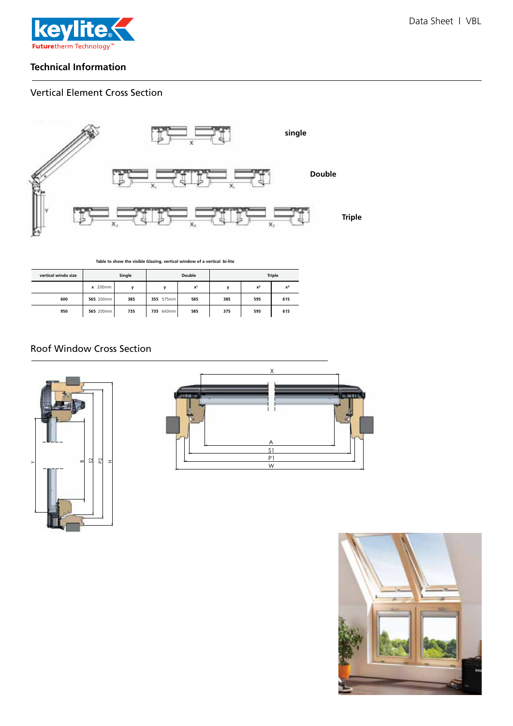

## **Technical Information**

# Vertical Element Cross Section



**Table to show the visible Glazing, vertical window of a vertical bi-lite**

| vertical windo size |           | Single | Double    |                | <b>Triple</b> |       |       |
|---------------------|-----------|--------|-----------|----------------|---------------|-------|-------|
|                     | x 200mm   | v      | v         | x <sup>1</sup> |               | $x^2$ | $x^3$ |
| 600                 | 565 200mm | 385    | 355 575mm | 585            | 385           | 595   | 615   |
| 950                 | 565 200mm | 735    | 735 643mm | 585            | 375           | 595   | 615   |

# Roof Window Cross Section